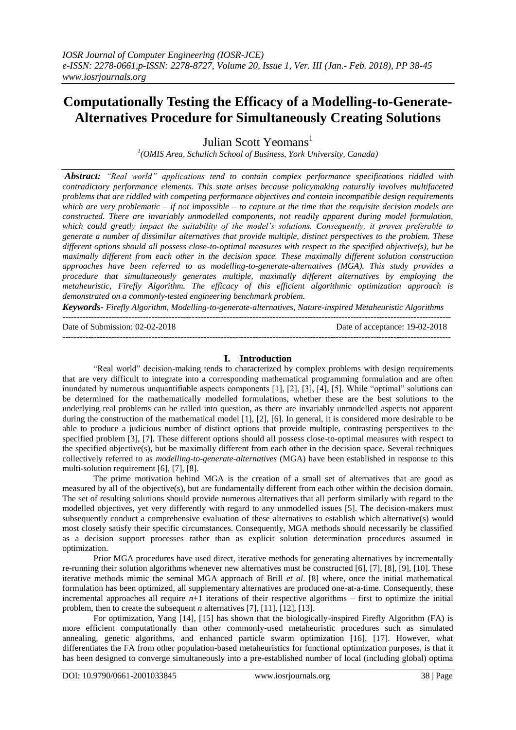# **Computationally Testing the Efficacy of a Modelling-to-Generate-Alternatives Procedure for Simultaneously Creating Solutions**

Julian Scott Yeomans<sup>1</sup>

*1 (OMIS Area, Schulich School of Business, York University, Canada)*

*Abstract: "Real world" applications tend to contain complex performance specifications riddled with contradictory performance elements. This state arises because policymaking naturally involves multifaceted problems that are riddled with competing performance objectives and contain incompatible design requirements which are very problematic – if not impossible – to capture at the time that the requisite decision models are constructed. There are invariably unmodelled components, not readily apparent during model formulation, which could greatly impact the suitability of the model's solutions. Consequently, it proves preferable to generate a number of dissimilar alternatives that provide multiple, distinct perspectives to the problem. These different options should all possess close-to-optimal measures with respect to the specified objective(s), but be maximally different from each other in the decision space. These maximally different solution construction approaches have been referred to as modelling-to-generate-alternatives (MGA). This study provides a procedure that simultaneously generates multiple, maximally different alternatives by employing the metaheuristic, Firefly Algorithm. The efficacy of this efficient algorithmic optimization approach is demonstrated on a commonly-tested engineering benchmark problem.*

*Keywords- Firefly Algorithm, Modelling-to-generate-alternatives, Nature-inspired Metaheuristic Algorithms* ---------------------------------------------------------------------------------------------------------------------------------------

| Date of Submission: 02-02-2018 | Date of acceptance: 19-02-2018 |
|--------------------------------|--------------------------------|
|                                |                                |

## **I. Introduction**

"Real world" decision-making tends to characterized by complex problems with design requirements that are very difficult to integrate into a corresponding mathematical programming formulation and are often inundated by numerous unquantifiable aspects components [1], [2], [3], [4], [5]. While "optimal" solutions can be determined for the mathematically modelled formulations, whether these are the best solutions to the underlying real problems can be called into question, as there are invariably unmodelled aspects not apparent during the construction of the mathematical model [1], [2], [6]. In general, it is considered more desirable to be able to produce a judicious number of distinct options that provide multiple, contrasting perspectives to the specified problem [3], [7]. These different options should all possess close-to-optimal measures with respect to the specified objective(s), but be maximally different from each other in the decision space. Several techniques collectively referred to as *modelling-to-generate-alternatives* (MGA) have been established in response to this multi-solution requirement [6], [7], [8].

The prime motivation behind MGA is the creation of a small set of alternatives that are good as measured by all of the objective(s), but are fundamentally different from each other within the decision domain. The set of resulting solutions should provide numerous alternatives that all perform similarly with regard to the modelled objectives, yet very differently with regard to any unmodelled issues [5]. The decision-makers must subsequently conduct a comprehensive evaluation of these alternatives to establish which alternative(s) would most closely satisfy their specific circumstances. Consequently, MGA methods should necessarily be classified as a decision support processes rather than as explicit solution determination procedures assumed in optimization.

Prior MGA procedures have used direct, iterative methods for generating alternatives by incrementally re-running their solution algorithms whenever new alternatives must be constructed [6], [7], [8], [9], [10]. These iterative methods mimic the seminal MGA approach of Brill *et al*. [8] where, once the initial mathematical formulation has been optimized, all supplementary alternatives are produced one-at-a-time. Consequently, these incremental approaches all require  $n+1$  iterations of their respective algorithms – first to optimize the initial problem, then to create the subsequent *n* alternatives [7], [11], [12], [13].

For optimization, Yang [14], [15] has shown that the biologically-inspired Firefly Algorithm (FA) is more efficient computationally than other commonly-used metaheuristic procedures such as simulated annealing, genetic algorithms, and enhanced particle swarm optimization [16], [17]. However, what differentiates the FA from other population-based metaheuristics for functional optimization purposes, is that it has been designed to converge simultaneously into a pre-established number of local (including global) optima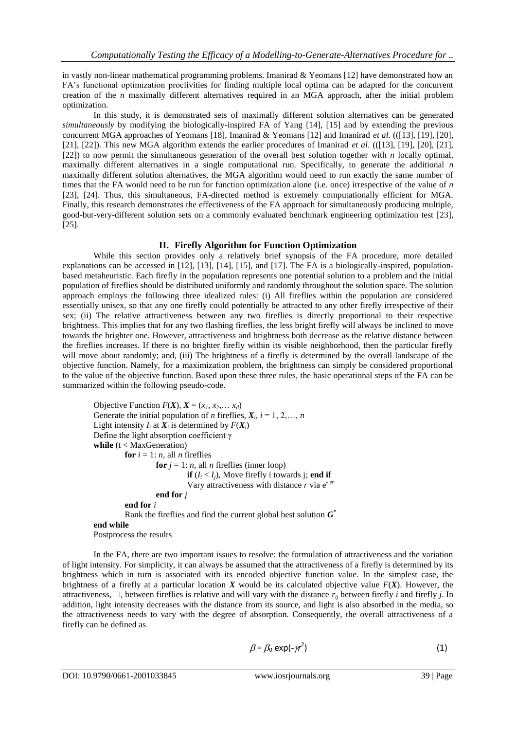in vastly non-linear mathematical programming problems. Imanirad & Yeomans [12] have demonstrated how an FA's functional optimization proclivities for finding multiple local optima can be adapted for the concurrent creation of the *n* maximally different alternatives required in an MGA approach, after the initial problem optimization.

In this study, it is demonstrated sets of maximally different solution alternatives can be generated *simultaneously* by modifying the biologically-inspired FA of Yang [14], [15] and by extending the previous concurrent MGA approaches of Yeomans [18], Imanirad & Yeomans [12] and Imanirad *et al*. (([13], [19], [20], [21], [22]). This new MGA algorithm extends the earlier procedures of Imanirad *et al*. (([13], [19], [20], [21], [22]) to now permit the simultaneous generation of the overall best solution together with *n* locally optimal, maximally different alternatives in a single computational run. Specifically, to generate the additional *n* maximally different solution alternatives, the MGA algorithm would need to run exactly the same number of times that the FA would need to be run for function optimization alone (i.e. once) irrespective of the value of *n* [23], [24]. Thus, this simultaneous, FA-directed method is extremely computationally efficient for MGA. Finally, this research demonstrates the effectiveness of the FA approach for simultaneously producing multiple, good-but-very-different solution sets on a commonly evaluated benchmark engineering optimization test [23], [25].

## **II. Firefly Algorithm for Function Optimization**

While this section provides only a relatively brief synopsis of the FA procedure, more detailed explanations can be accessed in [12], [13], [14], [15], and [17]. The FA is a biologically-inspired, populationbased metaheuristic. Each firefly in the population represents one potential solution to a problem and the initial population of fireflies should be distributed uniformly and randomly throughout the solution space. The solution approach employs the following three idealized rules: (i) All fireflies within the population are considered essentially unisex, so that any one firefly could potentially be attracted to any other firefly irrespective of their sex; (ii) The relative attractiveness between any two fireflies is directly proportional to their respective brightness. This implies that for any two flashing fireflies, the less bright firefly will always be inclined to move towards the brighter one. However, attractiveness and brightness both decrease as the relative distance between the fireflies increases. If there is no brighter firefly within its visible neighborhood, then the particular firefly will move about randomly; and, (iii) The brightness of a firefly is determined by the overall landscape of the objective function. Namely, for a maximization problem, the brightness can simply be considered proportional to the value of the objective function. Based upon these three rules, the basic operational steps of the FA can be summarized within the following pseudo-code.

Objective Function  $F(X)$ ,  $X = (x_1, x_2, \ldots, x_d)$ Generate the initial population of *n* fireflies,  $X_i$ ,  $i = 1, 2, \ldots, n$ Light intensity  $I_i$  at  $X_i$  is determined by  $F(X_i)$ Define the light absorption coefficient γ **while** (t < MaxGeneration) **for**  $i = 1$ : *n*, all *n* fireflies **for**  $j = 1$ : *n*, all *n* fireflies (inner loop) **if**  $(I_i < I_j)$ , Move firefly i towards j; **end if** Vary attractiveness with distance *r* via e- *γr* **end for** *j* **end for** *i* Rank the fireflies and find the current global best solution *G* **\* end while** Postprocess the results

In the FA, there are two important issues to resolve: the formulation of attractiveness and the variation of light intensity. For simplicity, it can always be assumed that the attractiveness of a firefly is determined by its brightness which in turn is associated with its encoded objective function value. In the simplest case, the brightness of a firefly at a particular location *X* would be its calculated objective value *F*(*X*). However, the attractiveness,  $\Box$ , between fireflies is relative and will vary with the distance  $r_{ij}$  between firefly *i* and firefly *j*. In addition, light intensity decreases with the distance from its source, and light is also absorbed in the media, so the attractiveness needs to vary with the degree of absorption. Consequently, the overall attractiveness of a firefly can be defined as

$$
\beta = \beta_0 \exp(-\gamma r^2) \tag{1}
$$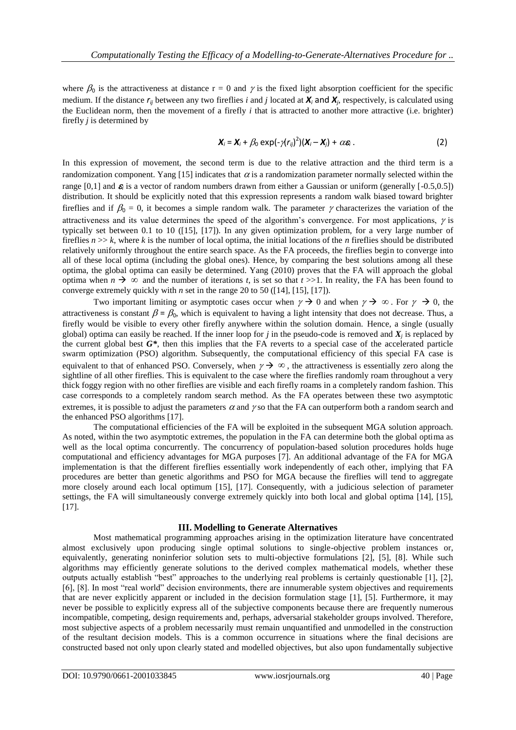where  $\beta_0$  is the attractiveness at distance  $r = 0$  and  $\gamma$  is the fixed light absorption coefficient for the specific medium. If the distance *rij* between any two fireflies *i* and *j* located at *X<sup>i</sup>* and *X<sup>j</sup>* , respectively, is calculated using the Euclidean norm, then the movement of a firefly *i* that is attracted to another more attractive (i.e. brighter) firefly *j* is determined by

$$
\mathbf{X}_i = \mathbf{X}_i + \beta_0 \exp(-\gamma (r_{ij})^2)(\mathbf{X}_i - \mathbf{X}_j) + \alpha \varepsilon_i.
$$
 (2)

In this expression of movement, the second term is due to the relative attraction and the third term is a randomization component. Yang [15] indicates that  $\alpha$  is a randomization parameter normally selected within the range [0,1] and  $\varepsilon$  is a vector of random numbers drawn from either a Gaussian or uniform (generally  $[-0.5, 0.5]$ ) distribution. It should be explicitly noted that this expression represents a random walk biased toward brighter fireflies and if  $\beta_0 = 0$ , it becomes a simple random walk. The parameter  $\gamma$  characterizes the variation of the attractiveness and its value determines the speed of the algorithm's convergence. For most applications,  $\gamma$  is typically set between 0.1 to 10 ([15], [17]). In any given optimization problem, for a very large number of fireflies  $n \gg k$ , where k is the number of local optima, the initial locations of the *n* fireflies should be distributed relatively uniformly throughout the entire search space. As the FA proceeds, the fireflies begin to converge into all of these local optima (including the global ones). Hence, by comparing the best solutions among all these optima, the global optima can easily be determined. Yang (2010) proves that the FA will approach the global optima when  $n \to \infty$  and the number of iterations *t*, is set so that  $t \gg 1$ . In reality, the FA has been found to converge extremely quickly with *n* set in the range 20 to 50 ([14], [15], [17]).

Two important limiting or asymptotic cases occur when  $\gamma \to 0$  and when  $\gamma \to \infty$ . For  $\gamma \to 0$ , the attractiveness is constant  $\beta = \beta_0$ , which is equivalent to having a light intensity that does not decrease. Thus, a firefly would be visible to every other firefly anywhere within the solution domain. Hence, a single (usually global) optima can easily be reached. If the inner loop for  $j$  in the pseudo-code is removed and  $X_j$  is replaced by the current global best *G\**, then this implies that the FA reverts to a special case of the accelerated particle swarm optimization (PSO) algorithm. Subsequently, the computational efficiency of this special FA case is equivalent to that of enhanced PSO. Conversely, when  $\gamma \to \infty$ , the attractiveness is essentially zero along the sightline of all other fireflies. This is equivalent to the case where the fireflies randomly roam throughout a very thick foggy region with no other fireflies are visible and each firefly roams in a completely random fashion. This case corresponds to a completely random search method. As the FA operates between these two asymptotic extremes, it is possible to adjust the parameters  $\alpha$  and  $\gamma$  so that the FA can outperform both a random search and the enhanced PSO algorithms [17].

The computational efficiencies of the FA will be exploited in the subsequent MGA solution approach. As noted, within the two asymptotic extremes, the population in the FA can determine both the global optima as well as the local optima concurrently. The concurrency of population-based solution procedures holds huge computational and efficiency advantages for MGA purposes [7]. An additional advantage of the FA for MGA implementation is that the different fireflies essentially work independently of each other, implying that FA procedures are better than genetic algorithms and PSO for MGA because the fireflies will tend to aggregate more closely around each local optimum [15], [17]. Consequently, with a judicious selection of parameter settings, the FA will simultaneously converge extremely quickly into both local and global optima [14], [15], [17].

## **III. Modelling to Generate Alternatives**

Most mathematical programming approaches arising in the optimization literature have concentrated almost exclusively upon producing single optimal solutions to single-objective problem instances or, equivalently, generating noninferior solution sets to multi-objective formulations [2], [5], [8]. While such algorithms may efficiently generate solutions to the derived complex mathematical models, whether these outputs actually establish "best" approaches to the underlying real problems is certainly questionable [1], [2], [6], [8]. In most "real world" decision environments, there are innumerable system objectives and requirements that are never explicitly apparent or included in the decision formulation stage [1], [5]. Furthermore, it may never be possible to explicitly express all of the subjective components because there are frequently numerous incompatible, competing, design requirements and, perhaps, adversarial stakeholder groups involved. Therefore, most subjective aspects of a problem necessarily must remain unquantified and unmodelled in the construction of the resultant decision models. This is a common occurrence in situations where the final decisions are constructed based not only upon clearly stated and modelled objectives, but also upon fundamentally subjective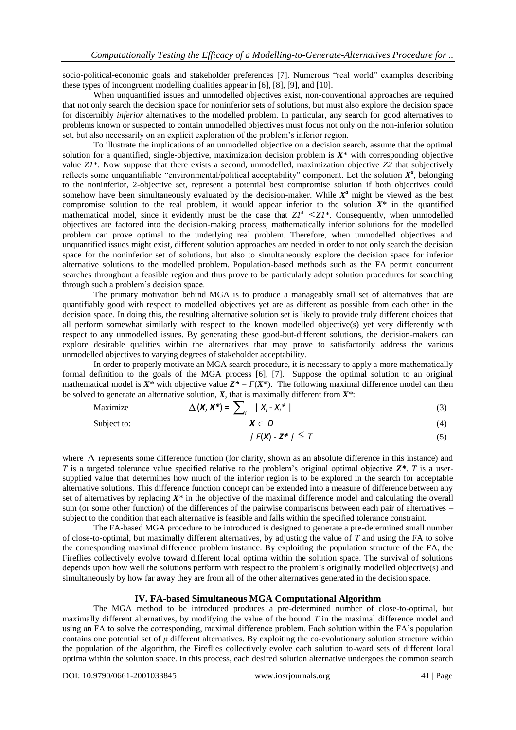socio-political-economic goals and stakeholder preferences [7]. Numerous "real world" examples describing these types of incongruent modelling dualities appear in [6], [8], [9], and [10].

When unquantified issues and unmodelled objectives exist, non-conventional approaches are required that not only search the decision space for noninferior sets of solutions, but must also explore the decision space for discernibly *inferior* alternatives to the modelled problem. In particular, any search for good alternatives to problems known or suspected to contain unmodelled objectives must focus not only on the non-inferior solution set, but also necessarily on an explicit exploration of the problem's inferior region.

To illustrate the implications of an unmodelled objective on a decision search, assume that the optimal solution for a quantified, single-objective, maximization decision problem is *X*\* with corresponding objective value *Z1*\*. Now suppose that there exists a second, unmodelled, maximization objective *Z2* that subjectively reflects some unquantifiable "environmental/political acceptability" component. Let the solution  $X^a$ , belonging to the noninferior, 2-objective set, represent a potential best compromise solution if both objectives could somehow have been simultaneously evaluated by the decision-maker. While  $X^a$  might be viewed as the best compromise solution to the real problem, it would appear inferior to the solution  $X^*$  in the quantified mathematical model, since it evidently must be the case that  $ZI^a \leq ZI^*$ . Consequently, when unmodelled objectives are factored into the decision-making process, mathematically inferior solutions for the modelled problem can prove optimal to the underlying real problem. Therefore, when unmodelled objectives and unquantified issues might exist, different solution approaches are needed in order to not only search the decision space for the noninferior set of solutions, but also to simultaneously explore the decision space for inferior alternative solutions to the modelled problem. Population-based methods such as the FA permit concurrent searches throughout a feasible region and thus prove to be particularly adept solution procedures for searching through such a problem's decision space.

The primary motivation behind MGA is to produce a manageably small set of alternatives that are quantifiably good with respect to modelled objectives yet are as different as possible from each other in the decision space. In doing this, the resulting alternative solution set is likely to provide truly different choices that all perform somewhat similarly with respect to the known modelled objective(s) yet very differently with respect to any unmodelled issues. By generating these good-but-different solutions, the decision-makers can explore desirable qualities within the alternatives that may prove to satisfactorily address the various unmodelled objectives to varying degrees of stakeholder acceptability.

In order to properly motivate an MGA search procedure, it is necessary to apply a more mathematically formal definition to the goals of the MGA process [6], [7]. Suppose the optimal solution to an original mathematical model is  $X^*$  with objective value  $Z^* = F(X^*)$ . The following maximal difference model can then be solved to generate an alternative solution, *X*, that is maximally different from *X\**:

$$
\text{Maximize} \qquad \Delta(\mathbf{X}, \mathbf{X}^*) = \sum_i |X_i - X_i^*| \tag{3}
$$

Subject to:  $X \in D$ *D* (4)

$$
|F(\mathbf{X}) - \mathbf{Z}^*| \leq T \tag{5}
$$

where  $\Delta$  represents some difference function (for clarity, shown as an absolute difference in this instance) and *T* is a targeted tolerance value specified relative to the problem's original optimal objective *Z\**. *T* is a usersupplied value that determines how much of the inferior region is to be explored in the search for acceptable alternative solutions. This difference function concept can be extended into a measure of difference between any set of alternatives by replacing *X\** in the objective of the maximal difference model and calculating the overall sum (or some other function) of the differences of the pairwise comparisons between each pair of alternatives – subject to the condition that each alternative is feasible and falls within the specified tolerance constraint.

The FA-based MGA procedure to be introduced is designed to generate a pre-determined small number of close-to-optimal, but maximally different alternatives, by adjusting the value of *T* and using the FA to solve the corresponding maximal difference problem instance. By exploiting the population structure of the FA, the Fireflies collectively evolve toward different local optima within the solution space. The survival of solutions depends upon how well the solutions perform with respect to the problem's originally modelled objective(s) and simultaneously by how far away they are from all of the other alternatives generated in the decision space.

## **IV. FA-based Simultaneous MGA Computational Algorithm**

The MGA method to be introduced produces a pre-determined number of close-to-optimal, but maximally different alternatives, by modifying the value of the bound *T* in the maximal difference model and using an FA to solve the corresponding, maximal difference problem. Each solution within the FA's population contains one potential set of *p* different alternatives. By exploiting the co-evolutionary solution structure within the population of the algorithm, the Fireflies collectively evolve each solution to-ward sets of different local optima within the solution space. In this process, each desired solution alternative undergoes the common search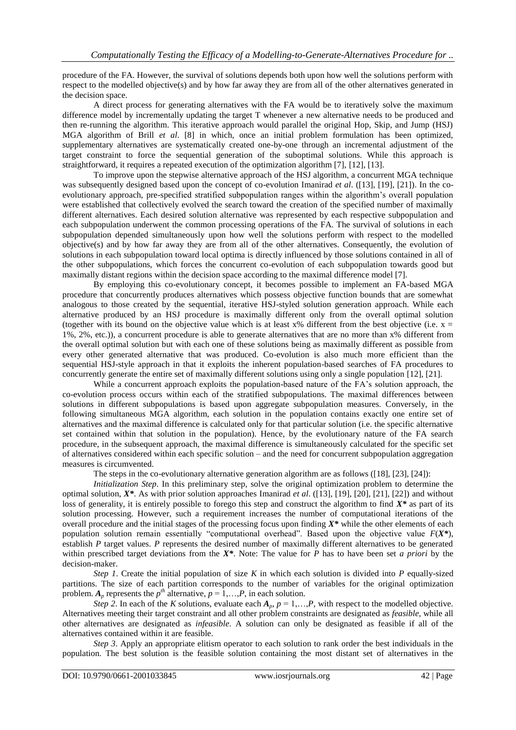procedure of the FA. However, the survival of solutions depends both upon how well the solutions perform with respect to the modelled objective(s) and by how far away they are from all of the other alternatives generated in the decision space.

A direct process for generating alternatives with the FA would be to iteratively solve the maximum difference model by incrementally updating the target T whenever a new alternative needs to be produced and then re-running the algorithm. This iterative approach would parallel the original Hop, Skip, and Jump (HSJ) MGA algorithm of Brill *et al*. [8] in which, once an initial problem formulation has been optimized, supplementary alternatives are systematically created one-by-one through an incremental adjustment of the target constraint to force the sequential generation of the suboptimal solutions. While this approach is straightforward, it requires a repeated execution of the optimization algorithm [7], [12], [13].

To improve upon the stepwise alternative approach of the HSJ algorithm, a concurrent MGA technique was subsequently designed based upon the concept of co-evolution Imanirad *et al.* ([13], [19], [21]). In the coevolutionary approach, pre-specified stratified subpopulation ranges within the algorithm's overall population were established that collectively evolved the search toward the creation of the specified number of maximally different alternatives. Each desired solution alternative was represented by each respective subpopulation and each subpopulation underwent the common processing operations of the FA. The survival of solutions in each subpopulation depended simultaneously upon how well the solutions perform with respect to the modelled objective(s) and by how far away they are from all of the other alternatives. Consequently, the evolution of solutions in each subpopulation toward local optima is directly influenced by those solutions contained in all of the other subpopulations, which forces the concurrent co-evolution of each subpopulation towards good but maximally distant regions within the decision space according to the maximal difference model [7].

By employing this co-evolutionary concept, it becomes possible to implement an FA-based MGA procedure that concurrently produces alternatives which possess objective function bounds that are somewhat analogous to those created by the sequential, iterative HSJ-styled solution generation approach. While each alternative produced by an HSJ procedure is maximally different only from the overall optimal solution (together with its bound on the objective value which is at least  $x$ % different from the best objective (i.e.  $x =$ 1%, 2%, etc.)), a concurrent procedure is able to generate alternatives that are no more than x% different from the overall optimal solution but with each one of these solutions being as maximally different as possible from every other generated alternative that was produced. Co-evolution is also much more efficient than the sequential HSJ-style approach in that it exploits the inherent population-based searches of FA procedures to concurrently generate the entire set of maximally different solutions using only a single population [12], [21].

While a concurrent approach exploits the population-based nature of the FA's solution approach, the co-evolution process occurs within each of the stratified subpopulations. The maximal differences between solutions in different subpopulations is based upon aggregate subpopulation measures. Conversely, in the following simultaneous MGA algorithm, each solution in the population contains exactly one entire set of alternatives and the maximal difference is calculated only for that particular solution (i.e. the specific alternative set contained within that solution in the population). Hence, by the evolutionary nature of the FA search procedure, in the subsequent approach, the maximal difference is simultaneously calculated for the specific set of alternatives considered within each specific solution – and the need for concurrent subpopulation aggregation measures is circumvented.

The steps in the co-evolutionary alternative generation algorithm are as follows ([18], [23], [24]):

*Initialization Step*. In this preliminary step, solve the original optimization problem to determine the optimal solution, *X\**. As with prior solution approaches Imanirad *et al*. ([13], [19], [20], [21], [22]) and without loss of generality, it is entirely possible to forego this step and construct the algorithm to find *X\** as part of its solution processing. However, such a requirement increases the number of computational iterations of the overall procedure and the initial stages of the processing focus upon finding *X\** while the other elements of each population solution remain essentially "computational overhead". Based upon the objective value *F*(*X\**), establish *P* target values. *P* represents the desired number of maximally different alternatives to be generated within prescribed target deviations from the *X\**. Note: The value for *P* has to have been set *a priori* by the decision-maker.

*Step 1*. Create the initial population of size *K* in which each solution is divided into *P* equally-sized partitions. The size of each partition corresponds to the number of variables for the original optimization problem.  $A_p$  represents the  $p^{th}$  alternative,  $p = 1,...,P$ , in each solution.

*Step 2*. In each of the *K* solutions, evaluate each  $A_p$ ,  $p = 1, \ldots, P$ , with respect to the modelled objective. Alternatives meeting their target constraint and all other problem constraints are designated as *feasible*, while all other alternatives are designated as *infeasible*. A solution can only be designated as feasible if all of the alternatives contained within it are feasible.

*Step 3*. Apply an appropriate elitism operator to each solution to rank order the best individuals in the population. The best solution is the feasible solution containing the most distant set of alternatives in the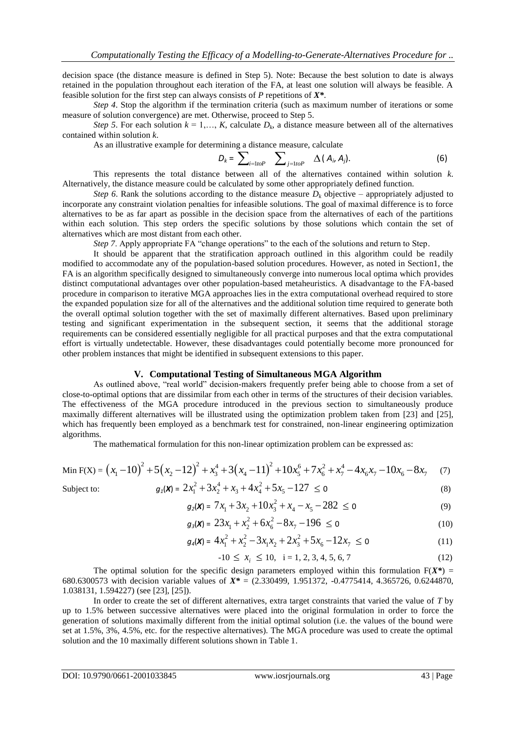decision space (the distance measure is defined in Step 5). Note: Because the best solution to date is always retained in the population throughout each iteration of the FA, at least one solution will always be feasible. A feasible solution for the first step can always consists of *P* repetitions of *X\**.

*Step 4*. Stop the algorithm if the termination criteria (such as maximum number of iterations or some measure of solution convergence) are met. Otherwise, proceed to Step 5.

*Step 5*. For each solution  $k = 1,..., K$ , calculate  $D_k$ , a distance measure between all of the alternatives contained within solution *k*.

As an illustrative example for determining a distance measure, calculate

$$
D_k = \sum_{i=1\text{to}} P \sum_{j=1\text{to}} P \Delta(A_i, A_j). \tag{6}
$$

This represents the total distance between all of the alternatives contained within solution *k*. Alternatively, the distance measure could be calculated by some other appropriately defined function.

*Step 6*. Rank the solutions according to the distance measure  $D_k$  objective – appropriately adjusted to incorporate any constraint violation penalties for infeasible solutions. The goal of maximal difference is to force alternatives to be as far apart as possible in the decision space from the alternatives of each of the partitions within each solution. This step orders the specific solutions by those solutions which contain the set of alternatives which are most distant from each other.

*Step 7.* Apply appropriate FA "change operations" to the each of the solutions and return to Step.

It should be apparent that the stratification approach outlined in this algorithm could be readily modified to accommodate any of the population-based solution procedures. However, as noted in Section1, the FA is an algorithm specifically designed to simultaneously converge into numerous local optima which provides distinct computational advantages over other population-based metaheuristics. A disadvantage to the FA-based procedure in comparison to iterative MGA approaches lies in the extra computational overhead required to store the expanded population size for all of the alternatives and the additional solution time required to generate both the overall optimal solution together with the set of maximally different alternatives. Based upon preliminary testing and significant experimentation in the subsequent section, it seems that the additional storage requirements can be considered essentially negligible for all practical purposes and that the extra computational effort is virtually undetectable. However, these disadvantages could potentially become more pronounced for other problem instances that might be identified in subsequent extensions to this paper.

## **V. Computational Testing of Simultaneous MGA Algorithm**

As outlined above, "real world" decision-makers frequently prefer being able to choose from a set of close-to-optimal options that are dissimilar from each other in terms of the structures of their decision variables. The effectiveness of the MGA procedure introduced in the previous section to simultaneously produce maximally different alternatives will be illustrated using the optimization problem taken from [23] and [25], which has frequently been employed as a benchmark test for constrained, non-linear engineering optimization algorithms.

algorithms.  
\nThe mathematical formulation for this non-linear optimization problem can be expressed as:  
\nMin F(X) = 
$$
(x_1 - 10)^2 + 5(x_2 - 12)^2 + x_3^4 + 3(x_4 - 11)^2 + 10x_5^6 + 7x_6^2 + x_7^4 - 4x_6x_7 - 10x_6 - 8x_7
$$
 (7)  
\nSubject to:  
\n $g_1(\mathbf{x}) = 2x_1^2 + 3x_2^4 + x_3 + 4x_4^2 + 5x_5 - 127 \le 0$  (8)

Subject to:

$$
2x_1^2 + 3x_2^2 + x_3 + 4x_4^2 + 5x_5 - 127 \le 0
$$
\n
$$
g_2(\mathbf{X}) = 7x_1 + 3x_2 + 10x_3^2 + x_4 - x_5 - 282 \le 0
$$
\n(9)

$$
g_3(\mathbf{x}) = 23x_1 + x_2^2 + 6x_6^2 - 8x_7 - 196 \le 0
$$
\n(10)

$$
g_3(x) = 25x_1 + x_2 + 6x_6 - 6x_7 + 156 \le 0
$$
  
\n
$$
g_4(x) = 4x_1^2 + x_2^2 - 3x_1x_2 + 2x_3^2 + 5x_6 - 12x_7 \le 0
$$
\n(11)

$$
-10 \le x_i \le 10, \quad i = 1, 2, 3, 4, 5, 6, 7 \tag{12}
$$

The optimal solution for the specific design parameters employed within this formulation  $F(X^*)$  = 680.6300573 with decision variable values of *X\** = (2.330499, 1.951372, -0.4775414, 4.365726, 0.6244870, 1.038131, 1.594227) (see [23], [25]).

In order to create the set of different alternatives, extra target constraints that varied the value of *T* by up to 1.5% between successive alternatives were placed into the original formulation in order to force the generation of solutions maximally different from the initial optimal solution (i.e. the values of the bound were set at 1.5%, 3%, 4.5%, etc. for the respective alternatives). The MGA procedure was used to create the optimal solution and the 10 maximally different solutions shown in Table 1.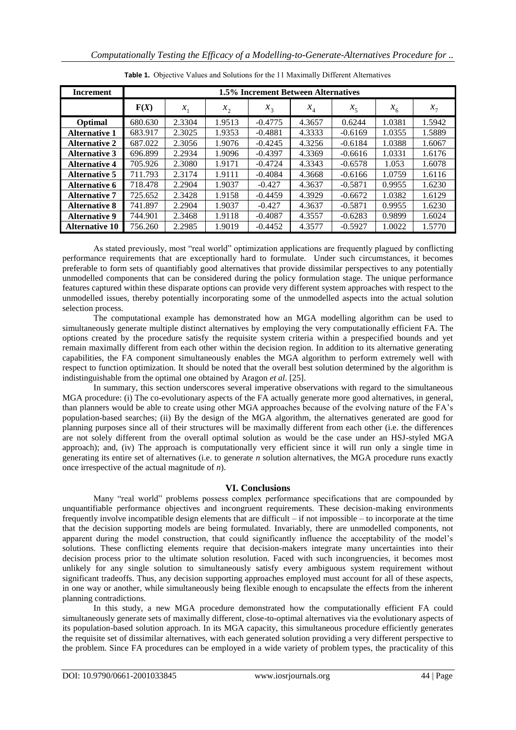| <b>Increment</b>      | 1.5% Increment Between Alternatives |        |         |           |        |                |         |         |
|-----------------------|-------------------------------------|--------|---------|-----------|--------|----------------|---------|---------|
|                       | F(X)                                | $x_1$  | $x_{2}$ | $x_3$     | $x_4$  | x <sub>5</sub> | $x_{6}$ | $x_{7}$ |
| Optimal               | 680.630                             | 2.3304 | 1.9513  | $-0.4775$ | 4.3657 | 0.6244         | 1.0381  | 1.5942  |
| <b>Alternative 1</b>  | 683.917                             | 2.3025 | 1.9353  | $-0.4881$ | 4.3333 | $-0.6169$      | 1.0355  | 1.5889  |
| <b>Alternative 2</b>  | 687.022                             | 2.3056 | 1.9076  | $-0.4245$ | 4.3256 | $-0.6184$      | 1.0388  | 1.6067  |
| <b>Alternative 3</b>  | 696.899                             | 2.2934 | 1.9096  | $-0.4397$ | 4.3369 | $-0.6616$      | 1.0331  | 1.6176  |
| <b>Alternative 4</b>  | 705.926                             | 2.3080 | 1.9171  | $-0.4724$ | 4.3343 | $-0.6578$      | 1.053   | 1.6078  |
| <b>Alternative 5</b>  | 711.793                             | 2.3174 | 1.9111  | $-0.4084$ | 4.3668 | $-0.6166$      | 1.0759  | 1.6116  |
| Alternative 6         | 718.478                             | 2.2904 | 1.9037  | $-0.427$  | 4.3637 | $-0.5871$      | 0.9955  | 1.6230  |
| <b>Alternative 7</b>  | 725.652                             | 2.3428 | 1.9158  | $-0.4459$ | 4.3929 | $-0.6672$      | 1.0382  | 1.6129  |
| <b>Alternative 8</b>  | 741.897                             | 2.2904 | 1.9037  | $-0.427$  | 4.3637 | $-0.5871$      | 0.9955  | 1.6230  |
| <b>Alternative 9</b>  | 744.901                             | 2.3468 | 1.9118  | $-0.4087$ | 4.3557 | $-0.6283$      | 0.9899  | 1.6024  |
| <b>Alternative 10</b> | 756.260                             | 2.2985 | 1.9019  | $-0.4452$ | 4.3577 | $-0.5927$      | 1.0022  | 1.5770  |

**Table 1.** Objective Values and Solutions for the 11 Maximally Different Alternatives

As stated previously, most "real world" optimization applications are frequently plagued by conflicting performance requirements that are exceptionally hard to formulate. Under such circumstances, it becomes preferable to form sets of quantifiably good alternatives that provide dissimilar perspectives to any potentially unmodelled components that can be considered during the policy formulation stage. The unique performance features captured within these disparate options can provide very different system approaches with respect to the unmodelled issues, thereby potentially incorporating some of the unmodelled aspects into the actual solution selection process.

The computational example has demonstrated how an MGA modelling algorithm can be used to simultaneously generate multiple distinct alternatives by employing the very computationally efficient FA. The options created by the procedure satisfy the requisite system criteria within a prespecified bounds and yet remain maximally different from each other within the decision region. In addition to its alternative generating capabilities, the FA component simultaneously enables the MGA algorithm to perform extremely well with respect to function optimization. It should be noted that the overall best solution determined by the algorithm is indistinguishable from the optimal one obtained by Aragon *et al*. [25].

In summary, this section underscores several imperative observations with regard to the simultaneous MGA procedure: (i) The co-evolutionary aspects of the FA actually generate more good alternatives, in general, than planners would be able to create using other MGA approaches because of the evolving nature of the FA's population-based searches; (ii) By the design of the MGA algorithm, the alternatives generated are good for planning purposes since all of their structures will be maximally different from each other (i.e. the differences are not solely different from the overall optimal solution as would be the case under an HSJ-styled MGA approach); and, (iv) The approach is computationally very efficient since it will run only a single time in generating its entire set of alternatives (i.e. to generate *n* solution alternatives, the MGA procedure runs exactly once irrespective of the actual magnitude of *n*).

## **VI. Conclusions**

Many "real world" problems possess complex performance specifications that are compounded by unquantifiable performance objectives and incongruent requirements. These decision-making environments frequently involve incompatible design elements that are difficult – if not impossible – to incorporate at the time that the decision supporting models are being formulated. Invariably, there are unmodelled components, not apparent during the model construction, that could significantly influence the acceptability of the model's solutions. These conflicting elements require that decision-makers integrate many uncertainties into their decision process prior to the ultimate solution resolution. Faced with such incongruencies, it becomes most unlikely for any single solution to simultaneously satisfy every ambiguous system requirement without significant tradeoffs. Thus, any decision supporting approaches employed must account for all of these aspects, in one way or another, while simultaneously being flexible enough to encapsulate the effects from the inherent planning contradictions.

In this study, a new MGA procedure demonstrated how the computationally efficient FA could simultaneously generate sets of maximally different, close-to-optimal alternatives via the evolutionary aspects of its population-based solution approach. In its MGA capacity, this simultaneous procedure efficiently generates the requisite set of dissimilar alternatives, with each generated solution providing a very different perspective to the problem. Since FA procedures can be employed in a wide variety of problem types, the practicality of this